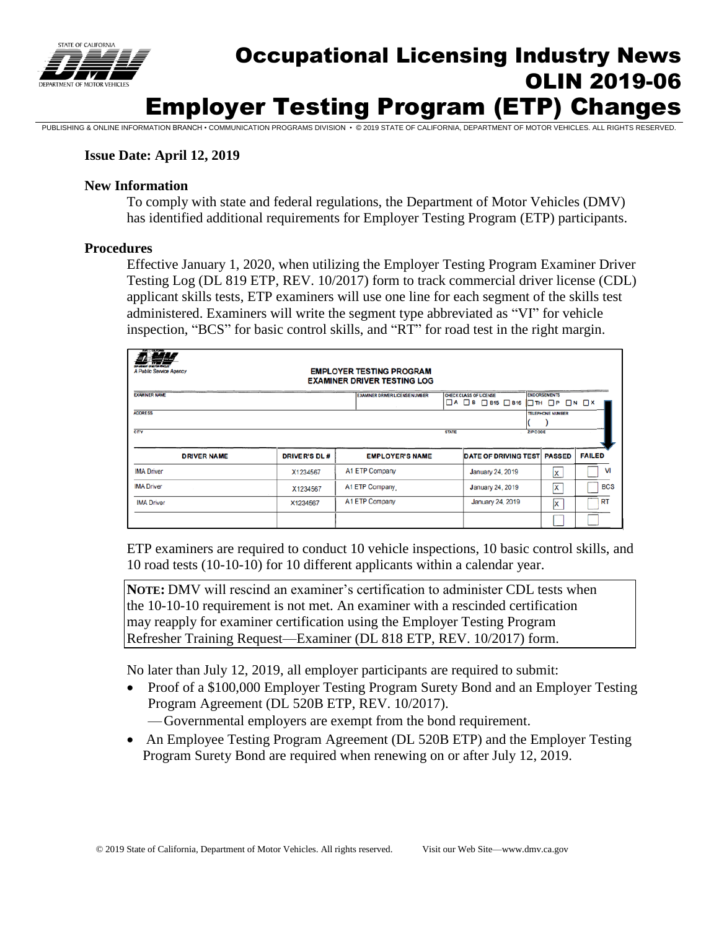

# Occupational Licensing Industry News OLIN 2019-06 Employer Testing Program (ETP) Changes

PUBLISHING & ONLINE INFORMATION BRANCH • COMMUNICATION PROGRAMS DIVISION • © 2019 STATE OF CALIFORNIA, DEPARTMENT OF

### **Issue Date: April 12, 2019**

#### **New Information**

To comply with state and federal regulations, the Department of Motor Vehicles (DMV) has identified additional requirements for Employer Testing Program (ETP) participants.

#### **Procedures**

Effective January 1, 2020, when utilizing the Employer Testing Program Examiner Driver Testing Log (DL 819 ETP, REV. 10/2017) form to track commercial driver license (CDL) applicant skills tests, ETP examiners will use one line for each segment of the skills test administered. Examiners will write the segment type abbreviated as "VI" for vehicle inspection, "BCS" for basic control skills, and "RT" for road test in the right margin.

| <b>BAR CGA PING</b><br><b>EMPLOYER TESTING PROGRAM</b><br>A Public Service Agency<br><b>EXAMINER DRIVER TESTING LOG</b>     |                     |  |                                       |  |                                                                          |  |  |                     |               |  |  |
|-----------------------------------------------------------------------------------------------------------------------------|---------------------|--|---------------------------------------|--|--------------------------------------------------------------------------|--|--|---------------------|---------------|--|--|
| <b>EXAMNER NAME</b>                                                                                                         |                     |  | <b>EXAMINER DRIVER LICENSE NUMBER</b> |  | <b>CHECK CLASS OF LICENSE</b><br>$\Box$ A $\Box$ B $\Box$ B15 $\Box$ B16 |  |  | <b>ENDORSEMENTS</b> |               |  |  |
| $\Box$ TH $\Box$ P $\Box$ N $\Box$ X<br><b>ADDRESS</b><br><b>TELEPHONE NUMBER</b><br>CTY<br><b>ZIP CODE</b><br><b>STATE</b> |                     |  |                                       |  |                                                                          |  |  |                     |               |  |  |
| <b>DRIVER NAME</b>                                                                                                          | <b>DRIVER'S DL#</b> |  | <b>EMPLOYER'S NAME</b>                |  | <b>DATE OF DRIVING TEST PASSED</b>                                       |  |  |                     | <b>FAILED</b> |  |  |
| <b>IMA Driver</b>                                                                                                           | X1234567            |  | A1 ETP Company                        |  | January 24, 2019                                                         |  |  | lx                  | v             |  |  |
| <b>IMA Driver</b>                                                                                                           | X1234567            |  | A1 ETP Company                        |  | January 24, 2019                                                         |  |  | x                   | <b>BCS</b>    |  |  |
| <b>IMA Driver</b>                                                                                                           | X1234567            |  | A1 ETP Company                        |  | January 24, 2019                                                         |  |  | Ιx                  | <b>RT</b>     |  |  |
|                                                                                                                             |                     |  |                                       |  |                                                                          |  |  |                     |               |  |  |

ETP examiners are required to conduct 10 vehicle inspections, 10 basic control skills, and 10 road tests (10-10-10) for 10 different applicants within a calendar year.

**NOTE:** DMV will rescind an examiner's certification to administer CDL tests when the 10-10-10 requirement is not met. An examiner with a rescinded certification may reapply for examiner certification using the Employer Testing Program Refresher Training Request—Examiner (DL 818 ETP, REV. 10/2017) form.

No later than July 12, 2019, all employer participants are required to submit:

- Proof of a \$100,000 Employer Testing Program Surety Bond and an Employer Testing Program Agreement (DL 520B ETP, REV. 10/2017).
	- —Governmental employers are exempt from the bond requirement.
- An Employee Testing Program Agreement (DL 520B ETP) and the Employer Testing Program Surety Bond are required when renewing on or after July 12, 2019.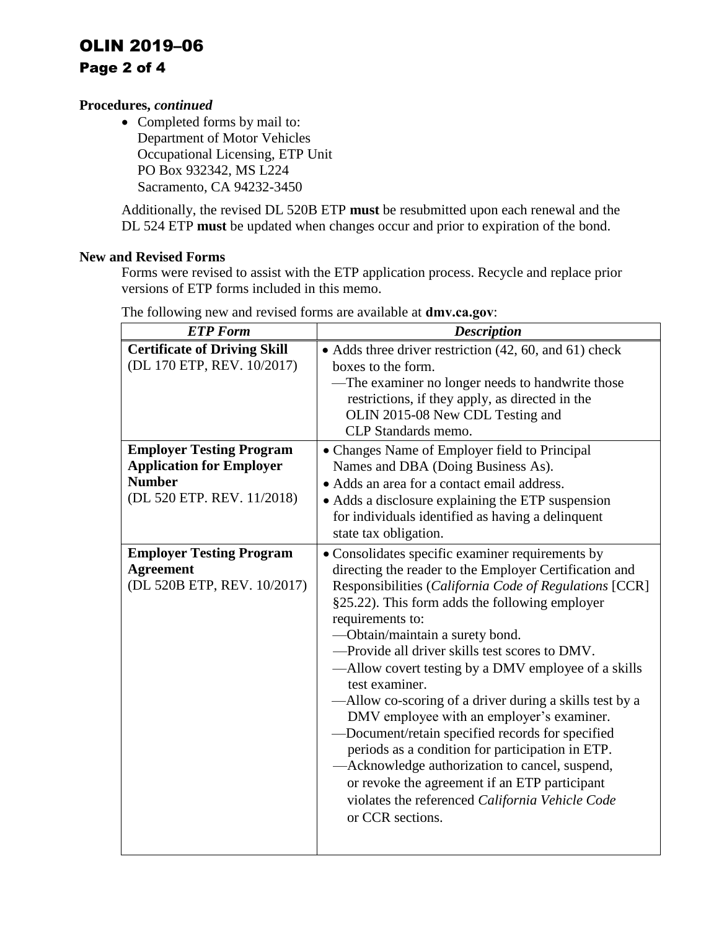# OLIN 2019–06 Page 2 of 4

### **Procedures,** *continued*

• Completed forms by mail to: Department of Motor Vehicles Occupational Licensing, ETP Unit PO Box 932342, MS L224 Sacramento, CA 94232-3450

Additionally, the revised DL 520B ETP **must** be resubmitted upon each renewal and the DL 524 ETP **must** be updated when changes occur and prior to expiration of the bond.

#### **New and Revised Forms**

Forms were revised to assist with the ETP application process. Recycle and replace prior versions of ETP forms included in this memo.

| <b>ETP</b> Form                                                                                                                                                                                                                                                              | <b>Description</b>                                                                                                                                                                                                                                                                                                                                                                                                                                                                                                                                                                                                                                                                                                                                                                                                                                                                                                                                                                                                                          |  |  |
|------------------------------------------------------------------------------------------------------------------------------------------------------------------------------------------------------------------------------------------------------------------------------|---------------------------------------------------------------------------------------------------------------------------------------------------------------------------------------------------------------------------------------------------------------------------------------------------------------------------------------------------------------------------------------------------------------------------------------------------------------------------------------------------------------------------------------------------------------------------------------------------------------------------------------------------------------------------------------------------------------------------------------------------------------------------------------------------------------------------------------------------------------------------------------------------------------------------------------------------------------------------------------------------------------------------------------------|--|--|
| <b>Certificate of Driving Skill</b><br>(DL 170 ETP, REV. 10/2017)<br><b>Employer Testing Program</b><br><b>Application for Employer</b><br><b>Number</b><br>(DL 520 ETP. REV. 11/2018)<br><b>Employer Testing Program</b><br><b>Agreement</b><br>(DL 520B ETP, REV. 10/2017) | • Adds three driver restriction (42, 60, and 61) check<br>boxes to the form.<br>-The examiner no longer needs to handwrite those<br>restrictions, if they apply, as directed in the<br>OLIN 2015-08 New CDL Testing and<br>CLP Standards memo.<br>• Changes Name of Employer field to Principal<br>Names and DBA (Doing Business As).<br>• Adds an area for a contact email address.<br>• Adds a disclosure explaining the ETP suspension<br>for individuals identified as having a delinquent<br>state tax obligation.<br>· Consolidates specific examiner requirements by<br>directing the reader to the Employer Certification and<br>Responsibilities (California Code of Regulations [CCR]<br>§25.22). This form adds the following employer<br>requirements to:<br>-Obtain/maintain a surety bond.<br>-Provide all driver skills test scores to DMV.<br>—Allow covert testing by a DMV employee of a skills<br>test examiner.<br>-Allow co-scoring of a driver during a skills test by a<br>DMV employee with an employer's examiner. |  |  |
|                                                                                                                                                                                                                                                                              | -Document/retain specified records for specified<br>periods as a condition for participation in ETP.<br>-Acknowledge authorization to cancel, suspend,<br>or revoke the agreement if an ETP participant<br>violates the referenced California Vehicle Code<br>or CCR sections.                                                                                                                                                                                                                                                                                                                                                                                                                                                                                                                                                                                                                                                                                                                                                              |  |  |
|                                                                                                                                                                                                                                                                              |                                                                                                                                                                                                                                                                                                                                                                                                                                                                                                                                                                                                                                                                                                                                                                                                                                                                                                                                                                                                                                             |  |  |

The following new and revised forms are available at **[dmv.ca.gov](http://www.dmv.ca.gov/)**: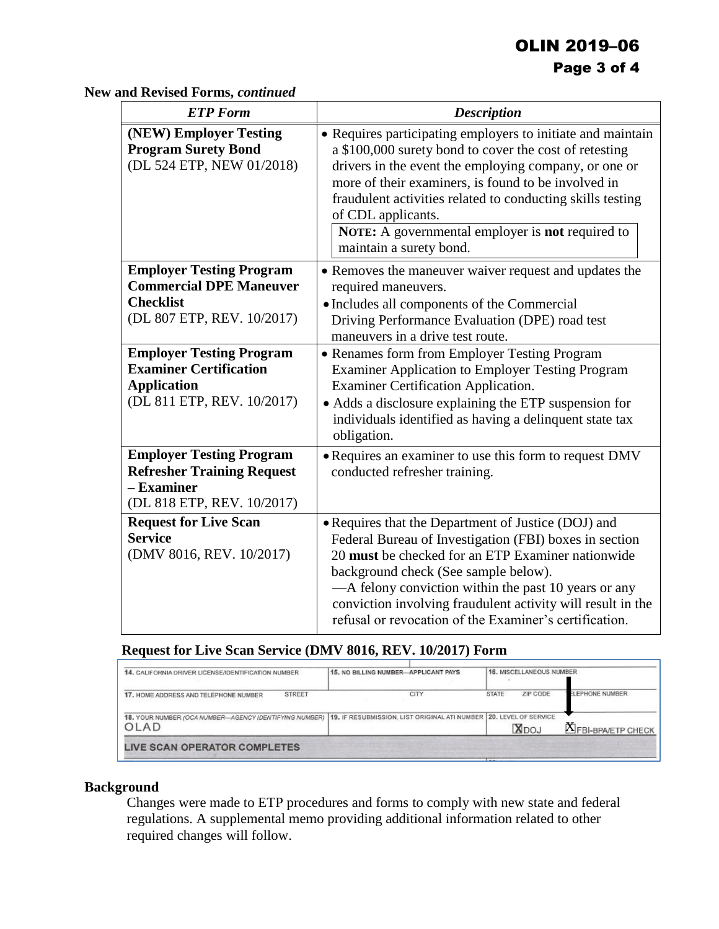## OLIN 2019–06 Page 3 of 4

**New and Revised Forms,** *continued* 

| <b>ETP</b> Form                                                                                                      | <b>Description</b>                                                                                                                                                                                                                                                                                                                                                                                                     |  |  |
|----------------------------------------------------------------------------------------------------------------------|------------------------------------------------------------------------------------------------------------------------------------------------------------------------------------------------------------------------------------------------------------------------------------------------------------------------------------------------------------------------------------------------------------------------|--|--|
| (NEW) Employer Testing<br><b>Program Surety Bond</b><br>(DL 524 ETP, NEW 01/2018)                                    | • Requires participating employers to initiate and maintain<br>a \$100,000 surety bond to cover the cost of retesting<br>drivers in the event the employing company, or one or<br>more of their examiners, is found to be involved in<br>fraudulent activities related to conducting skills testing<br>of CDL applicants.<br><b>NOTE:</b> A governmental employer is <b>not</b> required to<br>maintain a surety bond. |  |  |
| <b>Employer Testing Program</b><br><b>Commercial DPE Maneuver</b><br><b>Checklist</b><br>(DL 807 ETP, REV. 10/2017)  | • Removes the maneuver waiver request and updates the<br>required maneuvers.<br>• Includes all components of the Commercial<br>Driving Performance Evaluation (DPE) road test<br>maneuvers in a drive test route.                                                                                                                                                                                                      |  |  |
| <b>Employer Testing Program</b><br><b>Examiner Certification</b><br><b>Application</b><br>(DL 811 ETP, REV. 10/2017) | • Renames form from Employer Testing Program<br><b>Examiner Application to Employer Testing Program</b><br>Examiner Certification Application.<br>• Adds a disclosure explaining the ETP suspension for<br>individuals identified as having a delinquent state tax<br>obligation.                                                                                                                                      |  |  |
| <b>Employer Testing Program</b><br><b>Refresher Training Request</b><br>- Examiner<br>(DL 818 ETP, REV. 10/2017)     | • Requires an examiner to use this form to request DMV<br>conducted refresher training.                                                                                                                                                                                                                                                                                                                                |  |  |
| <b>Request for Live Scan</b><br><b>Service</b><br>(DMV 8016, REV. 10/2017)                                           | • Requires that the Department of Justice (DOJ) and<br>Federal Bureau of Investigation (FBI) boxes in section<br>20 must be checked for an ETP Examiner nationwide<br>background check (See sample below).<br>—A felony conviction within the past 10 years or any<br>conviction involving fraudulent activity will result in the<br>refusal or revocation of the Examiner's certification.                            |  |  |

### **Request for Live Scan Service (DMV 8016, REV. 10/2017) Form**

| 14. CALIFORNIA DRIVER LICENSE/IDENTIFICATION NUMBER            | 15. NO BILLING NUMBER-APPLICANT PAYS                               | 16. MISCELLANEOUS NUMBER  |                            |  |  |
|----------------------------------------------------------------|--------------------------------------------------------------------|---------------------------|----------------------------|--|--|
| <b>STREET</b><br>17. HOME ADDRESS AND TELEPHONE NUMBER         | CITY                                                               | ZIP CODE<br>STATE         | <b>ELEPHONE NUMBER</b>     |  |  |
| 18. YOUR NUMBER (OCA NUMBER-AGENCY IDENTIFYING NUMBER)<br>OLAD | 19. IF RESUBMISSION, LIST ORIGINAL ATI NUMBER 20. LEVEL OF SERVICE | XDOJ                      | <b>X</b> FBI-BPA/ETP CHECK |  |  |
| LIVE SCAN OPERATOR COMPLETES                                   |                                                                    |                           |                            |  |  |
|                                                                |                                                                    | <b>Address Commercial</b> |                            |  |  |

### **Background**

Changes were made to ETP procedures and forms to comply with new state and federal regulations. A supplemental memo providing additional information related to other required changes will follow.